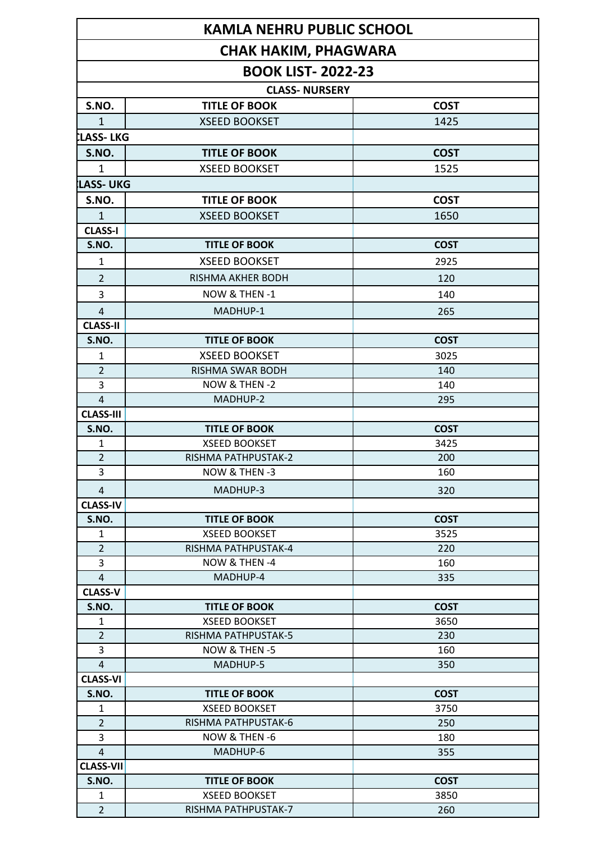|                                                                                  | <b>KAMLA NEHRU PUBLIC SCHOOL</b> |             |  |  |              |                      |             |
|----------------------------------------------------------------------------------|----------------------------------|-------------|--|--|--------------|----------------------|-------------|
| <b>CHAK HAKIM, PHAGWARA</b><br><b>BOOK LIST-2022-23</b><br><b>CLASS- NURSERY</b> |                                  |             |  |  |              |                      |             |
|                                                                                  |                                  |             |  |  | S.NO.        | <b>TITLE OF BOOK</b> | <b>COST</b> |
|                                                                                  |                                  |             |  |  | $\mathbf{1}$ | <b>XSEED BOOKSET</b> | 1425        |
| LLASS- LKG                                                                       |                                  |             |  |  |              |                      |             |
| S.NO.                                                                            | <b>TITLE OF BOOK</b>             | <b>COST</b> |  |  |              |                      |             |
| $\mathbf 1$                                                                      | <b>XSEED BOOKSET</b>             | 1525        |  |  |              |                      |             |
| <b>LASS-UKG</b>                                                                  |                                  |             |  |  |              |                      |             |
| S.NO.                                                                            | <b>TITLE OF BOOK</b>             | <b>COST</b> |  |  |              |                      |             |
| $\mathbf{1}$                                                                     | <b>XSEED BOOKSET</b>             | 1650        |  |  |              |                      |             |
| <b>CLASS-I</b>                                                                   |                                  |             |  |  |              |                      |             |
| S.NO.                                                                            | <b>TITLE OF BOOK</b>             | <b>COST</b> |  |  |              |                      |             |
| $\mathbf{1}$                                                                     | <b>XSEED BOOKSET</b>             | 2925        |  |  |              |                      |             |
| $\overline{2}$                                                                   | <b>RISHMA AKHER BODH</b>         | 120         |  |  |              |                      |             |
| 3                                                                                | NOW & THEN-1                     | 140         |  |  |              |                      |             |
| $\overline{4}$                                                                   | MADHUP-1                         | 265         |  |  |              |                      |             |
| <b>CLASS-II</b>                                                                  |                                  |             |  |  |              |                      |             |
| S.NO.                                                                            | <b>TITLE OF BOOK</b>             | <b>COST</b> |  |  |              |                      |             |
| $\mathbf{1}$                                                                     | <b>XSEED BOOKSET</b>             | 3025        |  |  |              |                      |             |
| $\overline{2}$                                                                   | <b>RISHMA SWAR BODH</b>          | 140         |  |  |              |                      |             |
| 3                                                                                | NOW & THEN -2                    | 140         |  |  |              |                      |             |
| $\overline{4}$                                                                   | MADHUP-2                         | 295         |  |  |              |                      |             |
| <b>CLASS-III</b>                                                                 |                                  |             |  |  |              |                      |             |
| S.NO.                                                                            | <b>TITLE OF BOOK</b>             | <b>COST</b> |  |  |              |                      |             |
| $\mathbf{1}$                                                                     | <b>XSEED BOOKSET</b>             | 3425        |  |  |              |                      |             |
| $\overline{2}$                                                                   | RISHMA PATHPUSTAK-2              | 200         |  |  |              |                      |             |
| 3                                                                                | NOW & THEN -3                    | 160         |  |  |              |                      |             |
| 4                                                                                | MADHUP-3                         | 320         |  |  |              |                      |             |
| <b>CLASS-IV</b>                                                                  |                                  |             |  |  |              |                      |             |
| S.NO.                                                                            | <b>TITLE OF BOOK</b>             | <b>COST</b> |  |  |              |                      |             |
| 1                                                                                | <b>XSEED BOOKSET</b>             | 3525        |  |  |              |                      |             |
| $\overline{2}$                                                                   | RISHMA PATHPUSTAK-4              | 220         |  |  |              |                      |             |
| 3                                                                                | NOW & THEN -4                    | 160         |  |  |              |                      |             |
| 4                                                                                | MADHUP-4                         | 335         |  |  |              |                      |             |
| <b>CLASS-V</b>                                                                   | <b>TITLE OF BOOK</b>             | <b>COST</b> |  |  |              |                      |             |
| S.NO.<br>1                                                                       | <b>XSEED BOOKSET</b>             | 3650        |  |  |              |                      |             |
| $\overline{2}$                                                                   | RISHMA PATHPUSTAK-5              | 230         |  |  |              |                      |             |
| 3                                                                                | NOW & THEN -5                    | 160         |  |  |              |                      |             |
| 4                                                                                | MADHUP-5                         | 350         |  |  |              |                      |             |
| <b>CLASS-VI</b>                                                                  |                                  |             |  |  |              |                      |             |
| S.NO.                                                                            | <b>TITLE OF BOOK</b>             | <b>COST</b> |  |  |              |                      |             |
| 1                                                                                | <b>XSEED BOOKSET</b>             | 3750        |  |  |              |                      |             |
| $\overline{2}$                                                                   | RISHMA PATHPUSTAK-6              | 250         |  |  |              |                      |             |
| 3                                                                                | NOW & THEN -6                    | 180         |  |  |              |                      |             |
| 4                                                                                | MADHUP-6                         | 355         |  |  |              |                      |             |
| <b>CLASS-VII</b>                                                                 |                                  |             |  |  |              |                      |             |
| S.NO.                                                                            | <b>TITLE OF BOOK</b>             | <b>COST</b> |  |  |              |                      |             |
| $\mathbf{1}$                                                                     | <b>XSEED BOOKSET</b>             | 3850        |  |  |              |                      |             |
| $\overline{2}$                                                                   | RISHMA PATHPUSTAK-7              | 260         |  |  |              |                      |             |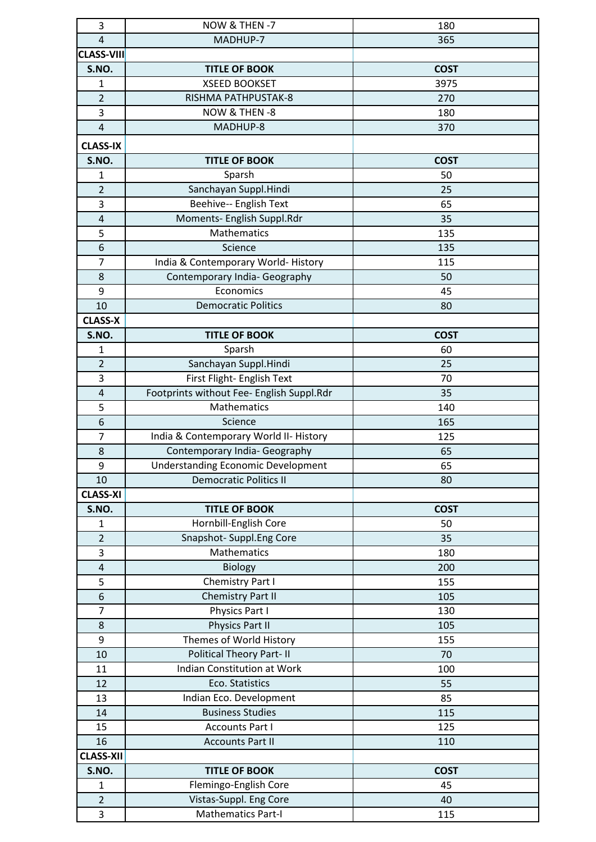| 3                     | NOW & THEN -7                                                              | 180         |
|-----------------------|----------------------------------------------------------------------------|-------------|
| $\overline{4}$        | MADHUP-7                                                                   | 365         |
| <b>CLASS-VIII</b>     |                                                                            |             |
| S.NO.                 | <b>TITLE OF BOOK</b>                                                       | <b>COST</b> |
| $\mathbf{1}$          | <b>XSEED BOOKSET</b>                                                       | 3975        |
| $\overline{2}$        | RISHMA PATHPUSTAK-8                                                        | 270         |
| 3                     | NOW & THEN -8                                                              | 180         |
| $\overline{4}$        | MADHUP-8                                                                   | 370         |
| <b>CLASS-IX</b>       |                                                                            |             |
| S.NO.                 | <b>TITLE OF BOOK</b>                                                       | <b>COST</b> |
| 1                     | Sparsh                                                                     | 50          |
| $\overline{2}$        | Sanchayan Suppl.Hindi                                                      | 25          |
| 3                     | Beehive-- English Text                                                     | 65          |
| 4                     | Moments- English Suppl.Rdr                                                 | 35          |
| 5                     | Mathematics                                                                | 135         |
| 6                     | Science                                                                    | 135         |
| $\overline{7}$        | India & Contemporary World-History                                         | 115         |
| 8                     | Contemporary India- Geography                                              | 50          |
|                       | Economics                                                                  |             |
| 9<br>10               | <b>Democratic Politics</b>                                                 | 45<br>80    |
| <b>CLASS-X</b>        |                                                                            |             |
| S.NO.                 | <b>TITLE OF BOOK</b>                                                       | <b>COST</b> |
| $\mathbf{1}$          | Sparsh                                                                     | 60          |
| $\overline{2}$        | Sanchayan Suppl.Hindi                                                      | 25          |
| 3                     |                                                                            |             |
|                       | First Flight- English Text                                                 | 70          |
| 4<br>5                | Footprints without Fee- English Suppl.Rdr<br>Mathematics                   | 35          |
|                       | Science                                                                    | 140         |
| 6                     |                                                                            | 165         |
| $\overline{7}$        | India & Contemporary World II- History                                     | 125         |
| 8<br>9                | Contemporary India- Geography                                              | 65          |
|                       | <b>Understanding Economic Development</b><br><b>Democratic Politics II</b> | 65          |
| 10<br><b>CLASS-XI</b> |                                                                            | 80          |
| S.NO.                 |                                                                            | <b>COST</b> |
|                       | <b>TITLE OF BOOK</b>                                                       |             |
| $\mathbf{1}$          | Hornbill-English Core                                                      | 50          |
| $\overline{2}$<br>3   | Snapshot-Suppl.Eng Core<br><b>Mathematics</b>                              | 35          |
|                       |                                                                            | 180         |
| 4                     | <b>Biology</b>                                                             | 200         |
| 5                     | Chemistry Part I                                                           | 155         |
| 6                     | <b>Chemistry Part II</b><br>Physics Part I                                 | 105         |
| $\overline{7}$<br>8   | Physics Part II                                                            | 130         |
| 9                     | Themes of World History                                                    | 105<br>155  |
|                       | <b>Political Theory Part-II</b>                                            |             |
| 10                    | <b>Indian Constitution at Work</b>                                         | 70<br>100   |
| 11<br>12              | Eco. Statistics                                                            | 55          |
| 13                    | Indian Eco. Development                                                    | 85          |
| 14                    | <b>Business Studies</b>                                                    | 115         |
| 15                    | <b>Accounts Part I</b>                                                     | 125         |
| 16                    | <b>Accounts Part II</b>                                                    | 110         |
| <b>CLASS-XII</b>      |                                                                            |             |
| S.NO.                 | <b>TITLE OF BOOK</b>                                                       | <b>COST</b> |
| $\mathbf{1}$          | Flemingo-English Core                                                      | 45          |
| $\overline{2}$        | Vistas-Suppl. Eng Core                                                     | 40          |
| 3                     | Mathematics Part-I                                                         | 115         |
|                       |                                                                            |             |